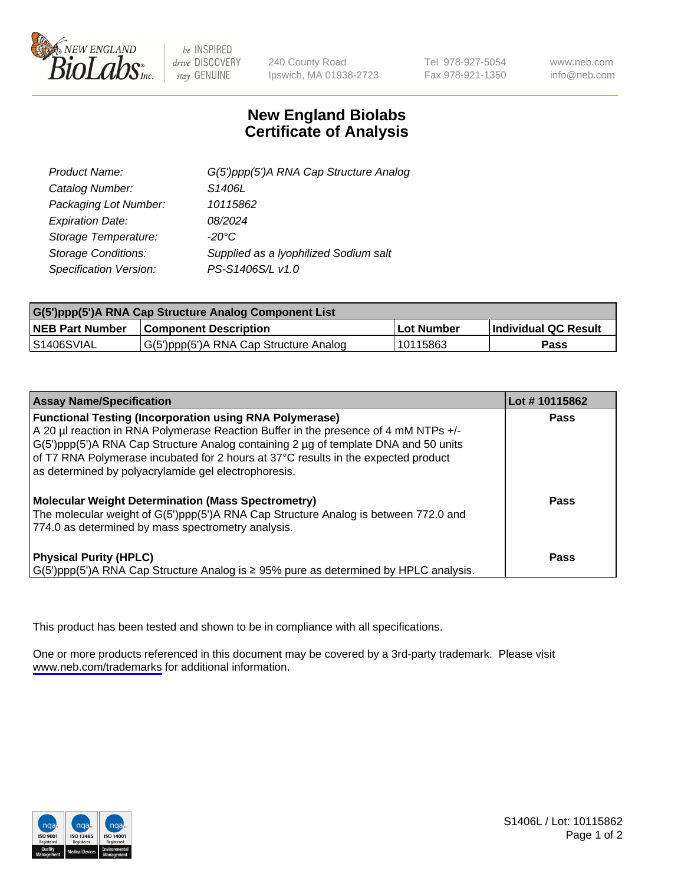

be INSPIRED drive DISCOVERY stay GENUINE

240 County Road Ipswich, MA 01938-2723 Tel 978-927-5054 Fax 978-921-1350

www.neb.com info@neb.com

## **New England Biolabs Certificate of Analysis**

| G(5')ppp(5')A RNA Cap Structure Analog |
|----------------------------------------|
| S1406L                                 |
| 10115862                               |
| 08/2024                                |
| $-20^{\circ}$ C                        |
| Supplied as a lyophilized Sodium salt  |
| PS-S1406S/L v1.0                       |
|                                        |

| G(5')ppp(5')A RNA Cap Structure Analog Component List |                                        |            |                             |  |
|-------------------------------------------------------|----------------------------------------|------------|-----------------------------|--|
| <b>NEB Part Number</b>                                | <b>Component Description</b>           | Lot Number | <b>Individual QC Result</b> |  |
| <b>S1406SVIAL</b>                                     | G(5')ppp(5')A RNA Cap Structure Analog | 10115863   | Pass                        |  |

| <b>Assay Name/Specification</b>                                                                                                                                                                                                                                                                                                                                                            | Lot #10115862 |
|--------------------------------------------------------------------------------------------------------------------------------------------------------------------------------------------------------------------------------------------------------------------------------------------------------------------------------------------------------------------------------------------|---------------|
| <b>Functional Testing (Incorporation using RNA Polymerase)</b><br>A 20 µl reaction in RNA Polymerase Reaction Buffer in the presence of 4 mM NTPs +/-<br>G(5')ppp(5')A RNA Cap Structure Analog containing 2 µg of template DNA and 50 units<br>of T7 RNA Polymerase incubated for 2 hours at 37°C results in the expected product<br>as determined by polyacrylamide gel electrophoresis. | Pass          |
| <b>Molecular Weight Determination (Mass Spectrometry)</b><br>The molecular weight of G(5')ppp(5')A RNA Cap Structure Analog is between 772.0 and<br>774.0 as determined by mass spectrometry analysis.                                                                                                                                                                                     | Pass          |
| <b>Physical Purity (HPLC)</b><br>$\vert G(5)$ ppp(5')A RNA Cap Structure Analog is $\geq 95\%$ pure as determined by HPLC analysis.                                                                                                                                                                                                                                                        | Pass          |

This product has been tested and shown to be in compliance with all specifications.

One or more products referenced in this document may be covered by a 3rd-party trademark. Please visit <www.neb.com/trademarks>for additional information.



S1406L / Lot: 10115862 Page 1 of 2